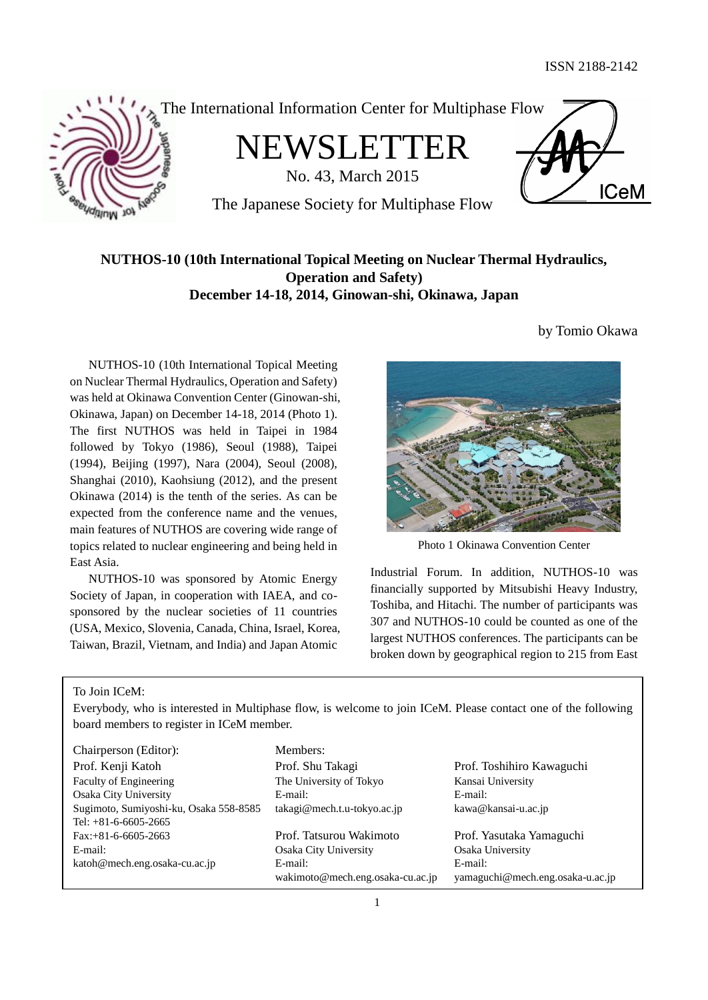

The International Information Center for Multiphase Flow

NEWSLETTER

No. 43, March 2015



The Japanese Society for Multiphase Flow

# **NUTHOS-10 (10th International Topical Meeting on Nuclear Thermal Hydraulics, Operation and Safety) December 14-18, 2014, Ginowan-shi, Okinawa, Japan**

NUTHOS-10 (10th International Topical Meeting on Nuclear Thermal Hydraulics, Operation and Safety) was held at Okinawa Convention Center (Ginowan-shi, Okinawa, Japan) on December 14-18, 2014 (Photo 1). The first NUTHOS was held in Taipei in 1984 followed by Tokyo (1986), Seoul (1988), Taipei (1994), Beijing (1997), Nara (2004), Seoul (2008), Shanghai (2010), Kaohsiung (2012), and the present Okinawa (2014) is the tenth of the series. As can be expected from the conference name and the venues, main features of NUTHOS are covering wide range of topics related to nuclear engineering and being held in East Asia.

NUTHOS-10 was sponsored by Atomic Energy Society of Japan, in cooperation with IAEA, and cosponsored by the nuclear societies of 11 countries (USA, Mexico, Slovenia, Canada, China, Israel, Korea, Taiwan, Brazil, Vietnam, and India) and Japan Atomic

by Tomio Okawa



Photo 1 Okinawa Convention Center

Industrial Forum. In addition, NUTHOS-10 was financially supported by Mitsubishi Heavy Industry, Toshiba, and Hitachi. The number of participants was 307 and NUTHOS-10 could be counted as one of the largest NUTHOS conferences. The participants can be broken down by geographical region to 215 from East

To Join ICeM:

Everybody, who is interested in Multiphase flow, is welcome to join ICeM. Please contact one of the following board members to register in ICeM member.

| Chairperson (Editor):                  | Members:                         |                                  |
|----------------------------------------|----------------------------------|----------------------------------|
| Prof. Kenji Katoh                      | Prof. Shu Takagi                 | Prof. Toshihiro Kawaguchi        |
| Faculty of Engineering                 | The University of Tokyo          | Kansai University                |
| Osaka City University                  | E-mail:                          | E-mail:                          |
| Sugimoto, Sumiyoshi-ku, Osaka 558-8585 | takagi@mech.t.u-tokyo.ac.jp      | kawa@kansai-u.ac.jp              |
| Tel: $+81-6-6605-2665$                 |                                  |                                  |
| $Fax: +81-6-6605-2663$                 | Prof. Tatsurou Wakimoto          | Prof. Yasutaka Yamaguchi         |
| E-mail:                                | Osaka City University            | Osaka University                 |
| katoh@mech.eng.osaka-cu.ac.jp          | E-mail:                          | E-mail:                          |
|                                        | wakimoto@mech.eng.osaka-cu.ac.jp | yamaguchi@mech.eng.osaka-u.ac.jp |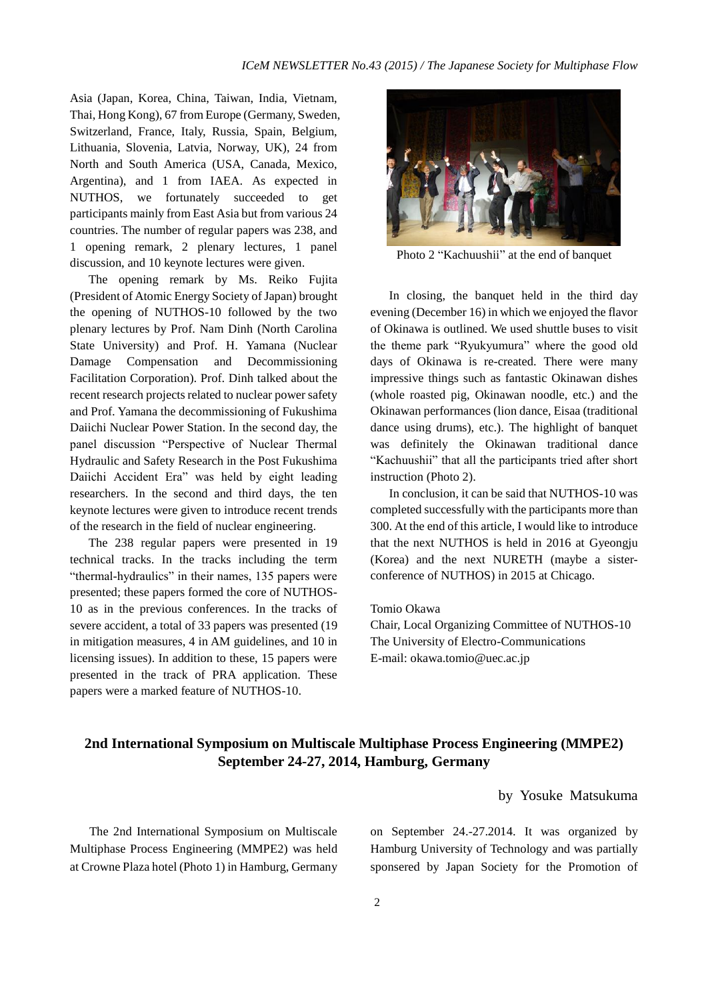Asia (Japan, Korea, China, Taiwan, India, Vietnam, Thai, Hong Kong), 67 from Europe (Germany, Sweden, Switzerland, France, Italy, Russia, Spain, Belgium, Lithuania, Slovenia, Latvia, Norway, UK), 24 from North and South America (USA, Canada, Mexico, Argentina), and 1 from IAEA. As expected in NUTHOS, we fortunately succeeded to get participants mainly from East Asia but from various 24 countries. The number of regular papers was 238, and 1 opening remark, 2 plenary lectures, 1 panel discussion, and 10 keynote lectures were given.

The opening remark by Ms. Reiko Fujita (President of Atomic Energy Society of Japan) brought the opening of NUTHOS-10 followed by the two plenary lectures by Prof. Nam Dinh (North Carolina State University) and Prof. H. Yamana (Nuclear Damage Compensation and Decommissioning Facilitation Corporation). Prof. Dinh talked about the recent research projects related to nuclear power safety and Prof. Yamana the decommissioning of Fukushima Daiichi Nuclear Power Station. In the second day, the panel discussion "Perspective of Nuclear Thermal Hydraulic and Safety Research in the Post Fukushima Daiichi Accident Era" was held by eight leading researchers. In the second and third days, the ten keynote lectures were given to introduce recent trends of the research in the field of nuclear engineering.

The 238 regular papers were presented in 19 technical tracks. In the tracks including the term "thermal-hydraulics" in their names, 135 papers were presented; these papers formed the core of NUTHOS-10 as in the previous conferences. In the tracks of severe accident, a total of 33 papers was presented (19 in mitigation measures, 4 in AM guidelines, and 10 in licensing issues). In addition to these, 15 papers were presented in the track of PRA application. These papers were a marked feature of NUTHOS-10.



Photo 2 "Kachuushii" at the end of banquet

 In closing, the banquet held in the third day evening (December 16) in which we enjoyed the flavor of Okinawa is outlined. We used shuttle buses to visit the theme park "Ryukyumura" where the good old days of Okinawa is re-created. There were many impressive things such as fantastic Okinawan dishes (whole roasted pig, Okinawan noodle, etc.) and the Okinawan performances (lion dance, Eisaa (traditional dance using drums), etc.). The highlight of banquet was definitely the Okinawan traditional dance "Kachuushii" that all the participants tried after short instruction (Photo 2).

In conclusion, it can be said that NUTHOS-10 was completed successfully with the participants more than 300. At the end of this article, I would like to introduce that the next NUTHOS is held in 2016 at Gyeongju (Korea) and the next NURETH (maybe a sisterconference of NUTHOS) in 2015 at Chicago.

### Tomio Okawa

Chair, Local Organizing Committee of NUTHOS-10 The University of Electro-Communications E-mail: okawa.tomio@uec.ac.jp

# **2nd International Symposium on Multiscale Multiphase Process Engineering (MMPE2) September 24-27, 2014, Hamburg, Germany**

# by Yosuke Matsukuma

The 2nd International Symposium on Multiscale Multiphase Process Engineering (MMPE2) was held at Crowne Plaza hotel (Photo 1) in Hamburg, Germany on September 24.-27.2014. It was organized by Hamburg University of Technology and was partially sponsered by Japan Society for the Promotion of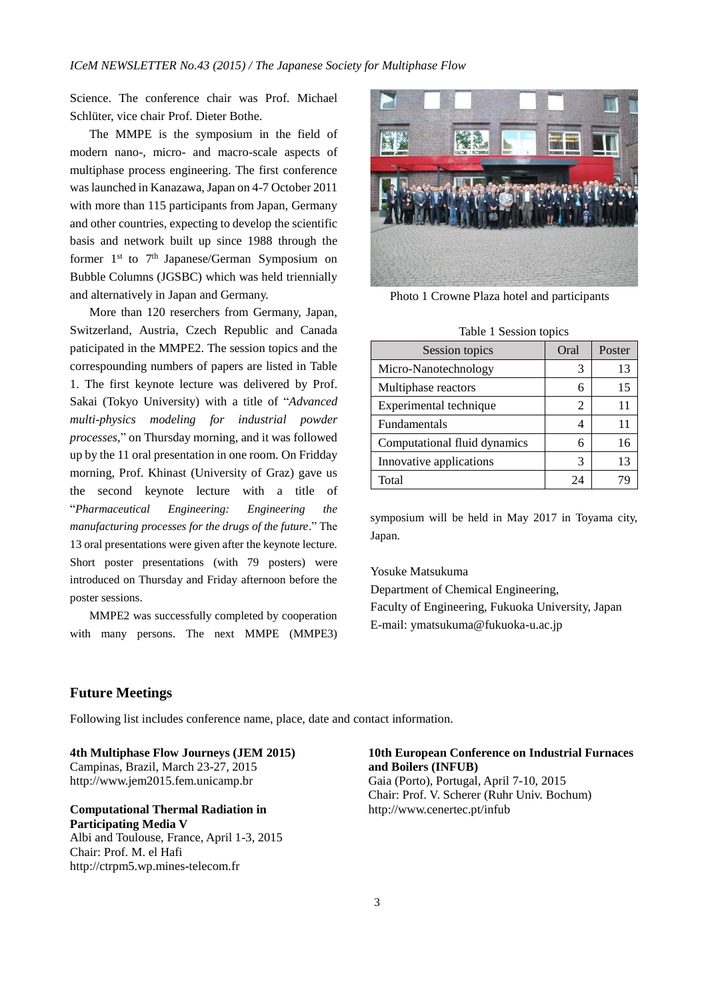Science. The conference chair was Prof. Michael Schlüter, vice chair Prof. Dieter Bothe.

The MMPE is the symposium in the field of modern nano-, micro- and macro-scale aspects of multiphase process engineering. The first conference was launched in Kanazawa, Japan on 4-7 October 2011 with more than 115 participants from Japan, Germany and other countries, expecting to develop the scientific basis and network built up since 1988 through the former  $1<sup>st</sup>$  to  $7<sup>th</sup>$  Japanese/German Symposium on Bubble Columns (JGSBC) which was held triennially and alternatively in Japan and Germany.

More than 120 reserchers from Germany, Japan, Switzerland, Austria, Czech Republic and Canada paticipated in the MMPE2. The session topics and the correspounding numbers of papers are listed in Table 1. The first keynote lecture was delivered by Prof. Sakai (Tokyo University) with a title of "*Advanced multi-physics modeling for industrial powder processes*," on Thursday morning, and it was followed up by the 11 oral presentation in one room. On Fridday morning, Prof. Khinast (University of Graz) gave us the second keynote lecture with a title of "*Pharmaceutical Engineering: Engineering the manufacturing processes for the drugs of the future*." The 13 oral presentations were given after the keynote lecture. Short poster presentations (with 79 posters) were introduced on Thursday and Friday afternoon before the poster sessions.

MMPE2 was successfully completed by cooperation with many persons. The next MMPE (MMPE3)



Photo 1 Crowne Plaza hotel and participants

Table 1 Session topics

| rable 1 bession topics       |      |        |  |
|------------------------------|------|--------|--|
| Session topics               | Oral | Poster |  |
| Micro-Nanotechnology         | 3    | 13     |  |
| Multiphase reactors          | 6    | 15     |  |
| Experimental technique       | 2    | 11     |  |
| Fundamentals                 |      | 11     |  |
| Computational fluid dynamics | 6    | 16     |  |
| Innovative applications      | 3    | 13     |  |
| Total                        |      |        |  |

symposium will be held in May 2017 in Toyama city, Japan.

Yosuke Matsukuma

Department of Chemical Engineering, Faculty of Engineering, Fukuoka University, Japan E-mail: ymatsukuma@fukuoka-u.ac.jp

# **Future Meetings**

Following list includes conference name, place, date and contact information.

**4th Multiphase Flow Journeys (JEM 2015)**  Campinas, Brazil, March 23-27, 2015 [http://www.jem2015.fem.unicamp.br](http://www.jem2015.fem.unicamp.br/)

#### **Computational Thermal Radiation in Participating Media V** Albi and Toulouse, France, April 1-3, 2015

Chair: Prof. M. el Hafi http://ctrpm5.wp.mines-telecom.fr

#### **10th European Conference on Industrial Furnaces and Boilers (INFUB)**

Gaia (Porto), Portugal, April 7-10, 2015 Chair: Prof. V. Scherer (Ruhr Univ. Bochum) http://www.cenertec.pt/infub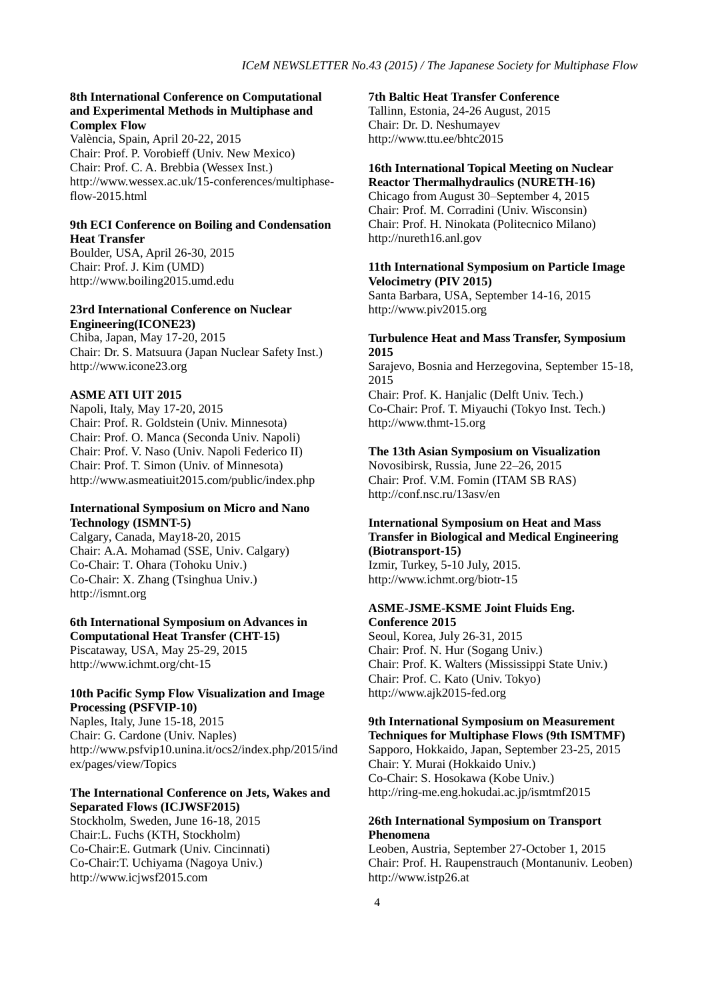#### **8th International Conference on Computational and Experimental Methods in Multiphase and Complex Flow**

València, Spain, April 20-22, 2015 Chair: Prof. P. Vorobieff (Univ. New Mexico) Chair: Prof. C. A. Brebbia (Wessex Inst.) http://www.wessex.ac.uk/15-conferences/multiphaseflow-2015.html

#### **9th ECI Conference on Boiling and Condensation Heat Transfer**

Boulder, USA, April 26-30, 2015 Chair: Prof. J. Kim (UMD) http://www.boiling2015.umd.edu

#### **23rd International Conference on Nuclear Engineering(ICONE23)**

Chiba, Japan, May 17-20, 2015 Chair: Dr. S. Matsuura (Japan Nuclear Safety Inst.) http://www.icone23.org

#### **ASME ATI UIT 2015**

Napoli, Italy, May 17-20, 2015 Chair: Prof. R. Goldstein (Univ. Minnesota) Chair: Prof. O. Manca (Seconda Univ. Napoli) Chair: Prof. V. Naso (Univ. Napoli Federico II) Chair: Prof. T. Simon (Univ. of Minnesota) http://www.asmeatiuit2015.com/public/index.php

#### **International Symposium on Micro and Nano Technology (ISMNT-5)**

Calgary, Canada, May18-20, 2015 Chair: A.A. Mohamad (SSE, Univ. Calgary) Co-Chair: T. Ohara (Tohoku Univ.) Co-Chair: X. Zhang (Tsinghua Univ.) http://ismnt.org

#### **6th International Symposium on Advances in Computational Heat Transfer (CHT-15)**

Piscataway, USA, May 25-29, 2015 http://www.ichmt.org/cht-15

#### **10th Pacific Symp Flow Visualization and Image Processing (PSFVIP-10)**

Naples, Italy, June 15-18, 2015 Chair: G. Cardone (Univ. Naples) http://www.psfvip10.unina.it/ocs2/index.php/2015/ind ex/pages/view/Topics

#### **The International Conference on Jets, Wakes and Separated Flows (ICJWSF2015)**

Stockholm, Sweden, June 16-18, 2015 Chair:L. Fuchs (KTH, Stockholm) Co-Chair:E. Gutmark (Univ. Cincinnati) Co-Chair:T. Uchiyama (Nagoya Univ.) http://www.icjwsf2015.com

#### **7th Baltic Heat Transfer Conference**

Tallinn, Estonia, 24-26 August, 2015 Chair: Dr. D. Neshumayev http://www.ttu.ee/bhtc2015

# **16th International Topical Meeting on Nuclear**

**Reactor Thermalhydraulics (NURETH-16)** Chicago from August 30–September 4, 2015 Chair: Prof. M. Corradini (Univ. Wisconsin) Chair: Prof. H. Ninokata (Politecnico Milano) http://nureth16.anl.gov

### **11th International Symposium on Particle Image Velocimetry (PIV 2015)**

Santa Barbara, USA, September 14-16, 2015 http://www.piv2015.org

#### **Turbulence Heat and Mass Transfer, Symposium 2015**

Sarajevo, Bosnia and Herzegovina, September 15-18, 2015

Chair: Prof. K. Hanjalic (Delft Univ. Tech.) Co-Chair: Prof. T. Miyauchi (Tokyo Inst. Tech.) http://www.thmt-15.org

#### **The 13th Asian Symposium on Visualization**

Novosibirsk, Russia, June 22–26, 2015 Chair: Prof. V.M. Fomin (ITAM SB RAS) http://conf.nsc.ru/13asv/en

# **International Symposium on Heat and Mass Transfer in Biological and Medical Engineering (Biotransport-15)**

Izmir, Turkey, 5-10 July, 2015. http://www.ichmt.org/biotr-15

#### **ASME-JSME-KSME Joint Fluids Eng. Conference 2015**

Seoul, Korea, July 26-31, 2015 Chair: Prof. N. Hur (Sogang Univ.) Chair: Prof. K. Walters (Mississippi State Univ.) Chair: Prof. C. Kato (Univ. Tokyo) http://www.ajk2015-fed.org

#### **9th International Symposium on Measurement Techniques for Multiphase Flows (9th ISMTMF)**

Sapporo, Hokkaido, Japan, September 23-25, 2015 Chair: Y. Murai (Hokkaido Univ.) Co-Chair: S. Hosokawa (Kobe Univ.) http://ring-me.eng.hokudai.ac.jp/ismtmf2015

### **26th International Symposium on Transport Phenomena**

Leoben, Austria, September 27-October 1, 2015 Chair: Prof. H. Raupenstrauch (Montanuniv. Leoben) http://www.istp26.at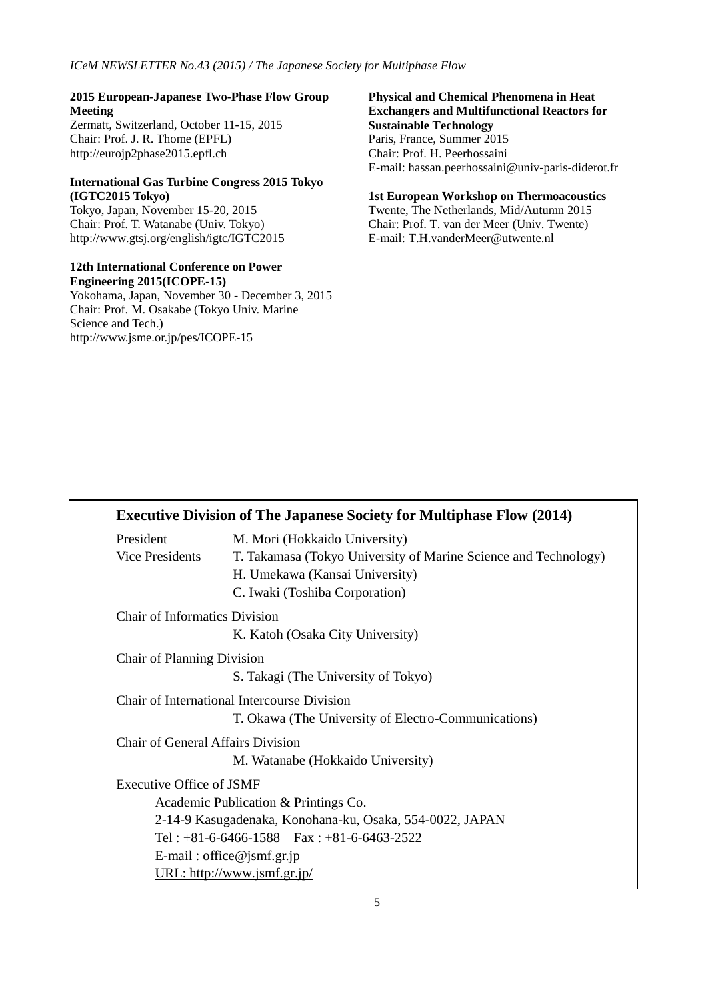### **2015 European-Japanese Two-Phase Flow Group Meeting**

Zermatt, Switzerland, October 11-15, 2015 Chair: Prof. J. R. Thome (EPFL) http://eurojp2phase2015.epfl.ch

# **International Gas Turbine Congress 2015 Tokyo (IGTC2015 Tokyo)**

Tokyo, Japan, November 15-20, 2015 Chair: Prof. T. Watanabe (Univ. Tokyo) http://www.gtsj.org/english/igtc/IGTC2015

#### **12th International Conference on Power Engineering 2015(ICOPE-15)**

Yokohama, Japan, November 30 - December 3, 2015 Chair: Prof. M. Osakabe (Tokyo Univ. Marine Science and Tech.) http://www.jsme.or.jp/pes/ICOPE-15

#### **Physical and Chemical Phenomena in Heat Exchangers and Multifunctional Reactors for Sustainable Technology** Paris, France, Summer 2015 Chair: Prof. H. Peerhossaini

E-mail: hassan.peerhossaini@univ-paris-diderot.fr

#### **1st European Workshop on Thermoacoustics**

Twente, The Netherlands, Mid/Autumn 2015 Chair: Prof. T. van der Meer (Univ. Twente) E-mail: T.H.vanderMeer@utwente.nl

|                                      | <b>Executive Division of The Japanese Society for Multiphase Flow (2014)</b> |
|--------------------------------------|------------------------------------------------------------------------------|
| President                            | M. Mori (Hokkaido University)                                                |
| <b>Vice Presidents</b>               | T. Takamasa (Tokyo University of Marine Science and Technology)              |
|                                      | H. Umekawa (Kansai University)                                               |
|                                      | C. Iwaki (Toshiba Corporation)                                               |
| <b>Chair of Informatics Division</b> |                                                                              |
|                                      | K. Katoh (Osaka City University)                                             |
| <b>Chair of Planning Division</b>    |                                                                              |
|                                      | S. Takagi (The University of Tokyo)                                          |
|                                      | Chair of International Intercourse Division                                  |
|                                      | T. Okawa (The University of Electro-Communications)                          |
| Chair of General Affairs Division    |                                                                              |
|                                      | M. Watanabe (Hokkaido University)                                            |
| <b>Executive Office of JSMF</b>      |                                                                              |
|                                      | Academic Publication & Printings Co.                                         |
|                                      | 2-14-9 Kasugadenaka, Konohana-ku, Osaka, 554-0022, JAPAN                     |
|                                      | Tel: $+81-6-6466-1588$ Fax: $+81-6-6463-2522$                                |
|                                      | E-mail: office@jsmf.gr.jp                                                    |
|                                      | URL: http://www.jsmf.gr.jp/                                                  |